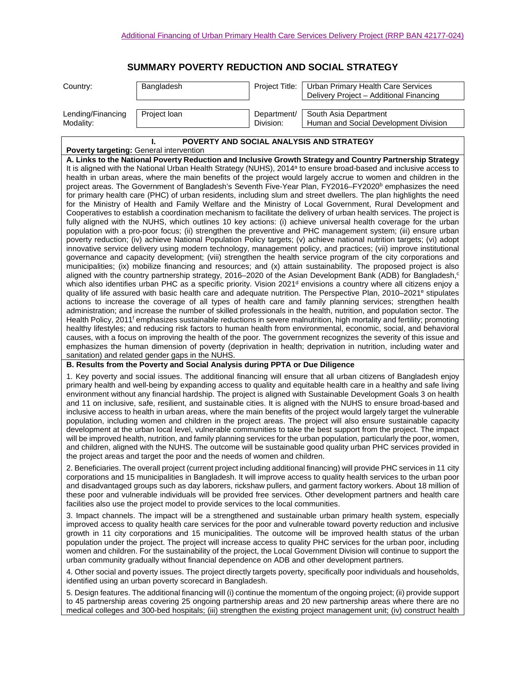# **SUMMARY POVERTY REDUCTION AND SOCIAL STRATEGY**

| Country:                                                                                                                      | Bangladesh   |             | Project Title:   Urban Primary Health Care Services |  |  |
|-------------------------------------------------------------------------------------------------------------------------------|--------------|-------------|-----------------------------------------------------|--|--|
|                                                                                                                               |              |             | Delivery Project - Additional Financing             |  |  |
|                                                                                                                               |              |             |                                                     |  |  |
| Lending/Financing                                                                                                             | Project loan | Department/ | South Asia Department                               |  |  |
| Modality:                                                                                                                     |              | Division:   | Human and Social Development Division               |  |  |
|                                                                                                                               |              |             |                                                     |  |  |
| POVERTY AND SOCIAL ANALYSIS AND STRATEGY                                                                                      |              |             |                                                     |  |  |
| <b>Poverty targeting: General intervention</b>                                                                                |              |             |                                                     |  |  |
| A. Links to the National Poverty Reduction and Inclusive Growth Strategy and Country Partnership Strategy                     |              |             |                                                     |  |  |
| It is aligned with the National Urban Health Strategy (NUHS), 2014 <sup>a</sup> to ensure broad-based and inclusive access to |              |             |                                                     |  |  |
| health in urban areas, where the main benefits of the project would largely accrue to women and children in the               |              |             |                                                     |  |  |

project areas. The Government of Bangladesh's Seventh Five-Year Plan, FY2016–FY2020<sup>b</sup> emphasizes the need for primary health care (PHC) of urban residents, including slum and street dwellers. The plan highlights the need for the Ministry of Health and Family Welfare and the Ministry of Local Government, Rural Development and Cooperatives to establish a coordination mechanism to facilitate the delivery of urban health services. The project is fully aligned with the NUHS, which outlines 10 key actions: (i) achieve universal health coverage for the urban population with a pro-poor focus; (ii) strengthen the preventive and PHC management system; (iii) ensure urban poverty reduction; (iv) achieve National Population Policy targets; (v) achieve national nutrition targets; (vi) adopt innovative service delivery using modern technology, management policy, and practices; (vii) improve institutional governance and capacity development; (viii) strengthen the health service program of the city corporations and municipalities; (ix) mobilize financing and resources; and (x) attain sustainability. The proposed project is also aligned with the country partnership strategy, 2016–2020 of the Asian Development Bank (ADB) for Bangladesh, c which also identifies urban PHC as a specific priority. Vision 2021<sup>d</sup> envisions a country where all citizens enjoy a quality of life assured with basic health care and adequate nutrition. The Perspective Plan, 2010–2021e stipulates actions to increase the coverage of all types of health care and family planning services; strengthen health administration; and increase the number of skilled professionals in the health, nutrition, and population sector. The Health Policy, 2011<sup>f</sup> emphasizes sustainable reductions in severe malnutrition, high mortality and fertility; promoting healthy lifestyles; and reducing risk factors to human health from environmental, economic, social, and behavioral causes, with a focus on improving the health of the poor. The government recognizes the severity of this issue and emphasizes the human dimension of poverty (deprivation in health; deprivation in nutrition, including water and sanitation) and related gender gaps in the NUHS.

**B. Results from the Poverty and Social Analysis during PPTA or Due Diligence**

1. Key poverty and social issues. The additional financing will ensure that all urban citizens of Bangladesh enjoy primary health and well-being by expanding access to quality and equitable health care in a healthy and safe living environment without any financial hardship. The project is aligned with Sustainable Development Goals 3 on health and 11 on inclusive, safe, resilient, and sustainable cities. It is aligned with the NUHS to ensure broad-based and inclusive access to health in urban areas, where the main benefits of the project would largely target the vulnerable population, including women and children in the project areas. The project will also ensure sustainable capacity development at the urban local level, vulnerable communities to take the best support from the project. The impact will be improved health, nutrition, and family planning services for the urban population, particularly the poor, women, and children, aligned with the NUHS. The outcome will be sustainable good quality urban PHC services provided in the project areas and target the poor and the needs of women and children.

2. Beneficiaries. The overall project (current project including additional financing) will provide PHC services in 11 city corporations and 15 municipalities in Bangladesh. It will improve access to quality health services to the urban poor and disadvantaged groups such as day laborers, rickshaw pullers, and garment factory workers. About 18 million of these poor and vulnerable individuals will be provided free services. Other development partners and health care facilities also use the project model to provide services to the local communities.

3. Impact channels. The impact will be a strengthened and sustainable urban primary health system, especially improved access to quality health care services for the poor and vulnerable toward poverty reduction and inclusive growth in 11 city corporations and 15 municipalities. The outcome will be improved health status of the urban population under the project. The project will increase access to quality PHC services for the urban poor, including women and children. For the sustainability of the project, the Local Government Division will continue to support the urban community gradually without financial dependence on ADB and other development partners.

4. Other social and poverty issues. The project directly targets poverty, specifically poor individuals and households, identified using an urban poverty scorecard in Bangladesh.

5. Design features. The additional financing will (i) continue the momentum of the ongoing project; (ii) provide support to 45 partnership areas covering 25 ongoing partnership areas and 20 new partnership areas where there are no medical colleges and 300-bed hospitals; (iii) strengthen the existing project management unit; (iv) construct health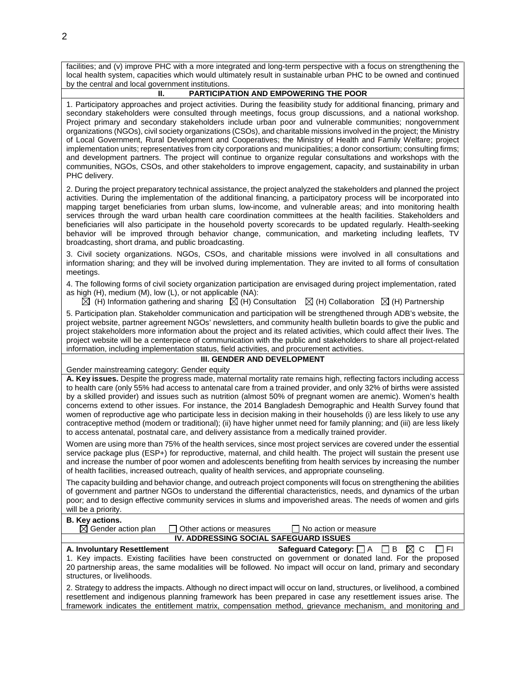facilities; and (v) improve PHC with a more integrated and long-term perspective with a focus on strengthening the local health system, capacities which would ultimately result in sustainable urban PHC to be owned and continued by the central and local government institutions.

## **II. PARTICIPATION AND EMPOWERING THE POOR**

1. Participatory approaches and project activities. During the feasibility study for additional financing, primary and secondary stakeholders were consulted through meetings, focus group discussions, and a national workshop. Project primary and secondary stakeholders include urban poor and vulnerable communities; nongovernment organizations (NGOs), civil society organizations (CSOs), and charitable missions involved in the project; the Ministry of Local Government, Rural Development and Cooperatives; the Ministry of Health and Family Welfare; project implementation units; representatives from city corporations and municipalities; a donor consortium; consulting firms; and development partners. The project will continue to organize regular consultations and workshops with the communities, NGOs, CSOs, and other stakeholders to improve engagement, capacity, and sustainability in urban PHC delivery.

2. During the project preparatory technical assistance, the project analyzed the stakeholders and planned the project activities. During the implementation of the additional financing, a participatory process will be incorporated into mapping target beneficiaries from urban slums, low-income, and vulnerable areas; and into monitoring health services through the ward urban health care coordination committees at the health facilities. Stakeholders and beneficiaries will also participate in the household poverty scorecards to be updated regularly. Health-seeking behavior will be improved through behavior change, communication, and marketing including leaflets, TV broadcasting, short drama, and public broadcasting.

3. Civil society organizations. NGOs, CSOs, and charitable missions were involved in all consultations and information sharing; and they will be involved during implementation. They are invited to all forms of consultation meetings.

4. The following forms of civil society organization participation are envisaged during project implementation, rated as high (H), medium (M), low (L), or not applicable (NA):

 $\boxtimes$  (H) Information gathering and sharing  $\boxtimes$  (H) Consultation  $\boxtimes$  (H) Collaboration  $\boxtimes$  (H) Partnership

5. Participation plan. Stakeholder communication and participation will be strengthened through ADB's website, the project website, partner agreement NGOs' newsletters, and community health bulletin boards to give the public and project stakeholders more information about the project and its related activities, which could affect their lives. The project website will be a centerpiece of communication with the public and stakeholders to share all project-related information, including implementation status, field activities, and procurement activities.

# **III. GENDER AND DEVELOPMENT**

Gender mainstreaming category: Gender equity

**A. Key issues.** Despite the progress made, maternal mortality rate remains high, reflecting factors including access to health care (only 55% had access to antenatal care from a trained provider, and only 32% of births were assisted by a skilled provider) and issues such as nutrition (almost 50% of pregnant women are anemic). Women's health concerns extend to other issues. For instance, the 2014 Bangladesh Demographic and Health Survey found that women of reproductive age who participate less in decision making in their households (i) are less likely to use any contraceptive method (modern or traditional); (ii) have higher unmet need for family planning; and (iii) are less likely to access antenatal, postnatal care, and delivery assistance from a medically trained provider.

Women are using more than 75% of the health services, since most project services are covered under the essential service package plus (ESP+) for reproductive, maternal, and child health. The project will sustain the present use and increase the number of poor women and adolescents benefiting from health services by increasing the number of health facilities, increased outreach, quality of health services, and appropriate counseling.

The capacity building and behavior change, and outreach project components will focus on strengthening the abilities of government and partner NGOs to understand the differential characteristics, needs, and dynamics of the urban poor; and to design effective community services in slums and impoverished areas. The needs of women and girls will be a priority.

#### **B. Key actions.**

| $\boxtimes$ Gender action plan |  |
|--------------------------------|--|
|                                |  |
|                                |  |
|                                |  |

 $\Box$  Other actions or measures  $\Box$  No action or measure **IV. ADDRESSING SOCIAL SAFEGUARD ISSUES**

## **A. Involuntary Resettlement Category:** Network Category: **A** B ⊠ C FI

1. Key impacts. Existing facilities have been constructed on government or donated land. For the proposed 20 partnership areas, the same modalities will be followed. No impact will occur on land, primary and secondary structures, or livelihoods.

2. Strategy to address the impacts. Although no direct impact will occur on land, structures, or livelihood, a combined resettlement and indigenous planning framework has been prepared in case any resettlement issues arise. The framework indicates the entitlement matrix, compensation method, grievance mechanism, and monitoring and